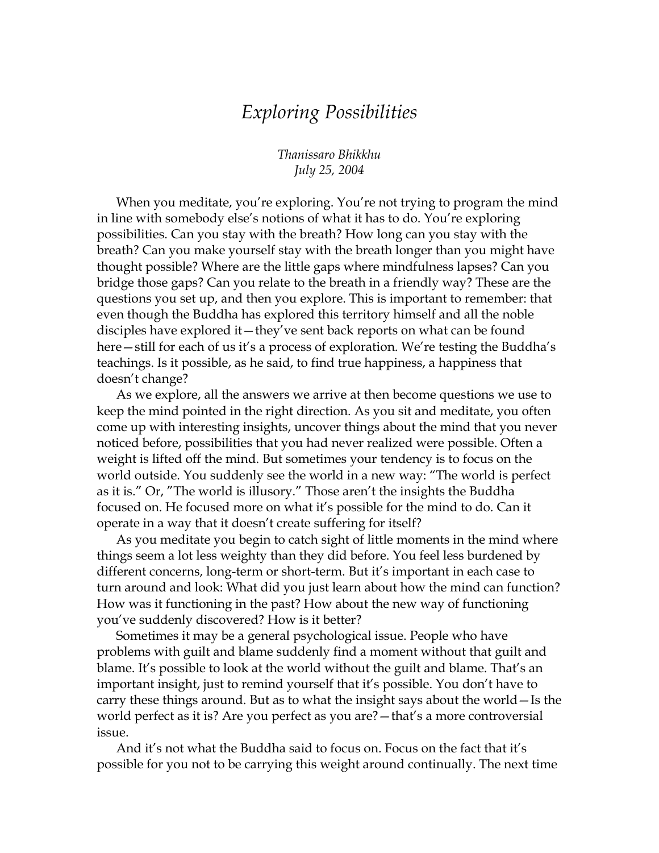## *Exploring Possibilities*

*Thanissaro Bhikkhu July 25, 2004* 

When you meditate, you're exploring. You're not trying to program the mind in line with somebody else's notions of what it has to do. You're exploring possibilities. Can you stay with the breath? How long can you stay with the breath? Can you make yourself stay with the breath longer than you might have thought possible? Where are the little gaps where mindfulness lapses? Can you bridge those gaps? Can you relate to the breath in a friendly way? These are the questions you set up, and then you explore. This is important to remember: that even though the Buddha has explored this territory himself and all the noble disciples have explored it—they've sent back reports on what can be found here—still for each of us it's a process of exploration. We're testing the Buddha's teachings. Is it possible, as he said, to find true happiness, a happiness that doesn't change?

As we explore, all the answers we arrive at then become questions we use to keep the mind pointed in the right direction. As you sit and meditate, you often come up with interesting insights, uncover things about the mind that you never noticed before, possibilities that you had never realized were possible. Often a weight is lifted off the mind. But sometimes your tendency is to focus on the world outside. You suddenly see the world in a new way: "The world is perfect as it is." Or, "The world is illusory." Those aren't the insights the Buddha focused on. He focused more on what it's possible for the mind to do. Can it operate in a way that it doesn't create suffering for itself?

As you meditate you begin to catch sight of little moments in the mind where things seem a lot less weighty than they did before. You feel less burdened by different concerns, long-term or short-term. But it's important in each case to turn around and look: What did you just learn about how the mind can function? How was it functioning in the past? How about the new way of functioning you've suddenly discovered? How is it better?

Sometimes it may be a general psychological issue. People who have problems with guilt and blame suddenly find a moment without that guilt and blame. It's possible to look at the world without the guilt and blame. That's an important insight, just to remind yourself that it's possible. You don't have to carry these things around. But as to what the insight says about the world—Is the world perfect as it is? Are you perfect as you are?—that's a more controversial issue.

And it's not what the Buddha said to focus on. Focus on the fact that it's possible for you not to be carrying this weight around continually. The next time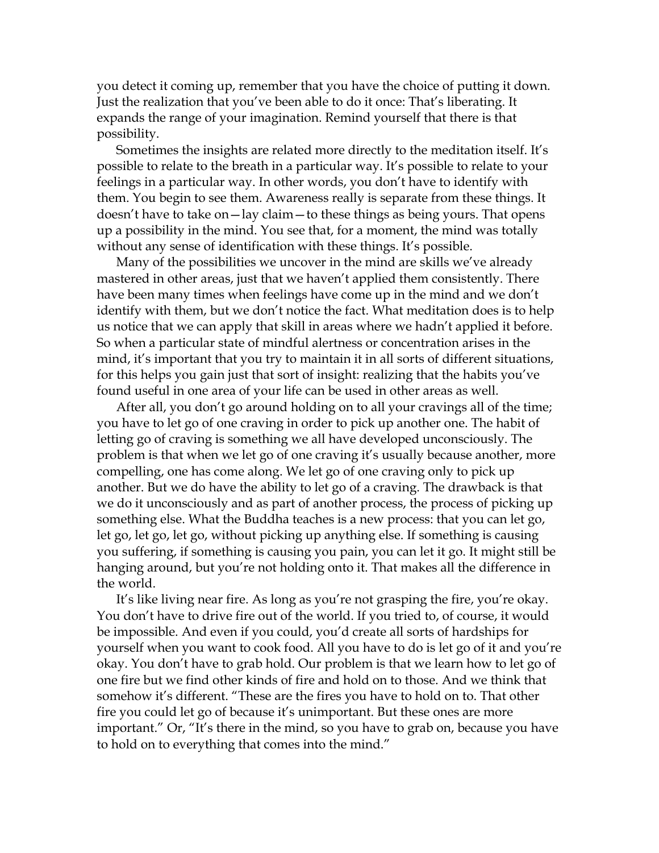you detect it coming up, remember that you have the choice of putting it down. Just the realization that you've been able to do it once: That's liberating. It expands the range of your imagination. Remind yourself that there is that possibility.

Sometimes the insights are related more directly to the meditation itself. It's possible to relate to the breath in a particular way. It's possible to relate to your feelings in a particular way. In other words, you don't have to identify with them. You begin to see them. Awareness really is separate from these things. It doesn't have to take on—lay claim—to these things as being yours. That opens up a possibility in the mind. You see that, for a moment, the mind was totally without any sense of identification with these things. It's possible.

Many of the possibilities we uncover in the mind are skills we've already mastered in other areas, just that we haven't applied them consistently. There have been many times when feelings have come up in the mind and we don't identify with them, but we don't notice the fact. What meditation does is to help us notice that we can apply that skill in areas where we hadn't applied it before. So when a particular state of mindful alertness or concentration arises in the mind, it's important that you try to maintain it in all sorts of different situations, for this helps you gain just that sort of insight: realizing that the habits you've found useful in one area of your life can be used in other areas as well.

After all, you don't go around holding on to all your cravings all of the time; you have to let go of one craving in order to pick up another one. The habit of letting go of craving is something we all have developed unconsciously. The problem is that when we let go of one craving it's usually because another, more compelling, one has come along. We let go of one craving only to pick up another. But we do have the ability to let go of a craving. The drawback is that we do it unconsciously and as part of another process, the process of picking up something else. What the Buddha teaches is a new process: that you can let go, let go, let go, let go, without picking up anything else. If something is causing you suffering, if something is causing you pain, you can let it go. It might still be hanging around, but you're not holding onto it. That makes all the difference in the world.

It's like living near fire. As long as you're not grasping the fire, you're okay. You don't have to drive fire out of the world. If you tried to, of course, it would be impossible. And even if you could, you'd create all sorts of hardships for yourself when you want to cook food. All you have to do is let go of it and you're okay. You don't have to grab hold. Our problem is that we learn how to let go of one fire but we find other kinds of fire and hold on to those. And we think that somehow it's different. "These are the fires you have to hold on to. That other fire you could let go of because it's unimportant. But these ones are more important." Or, "It's there in the mind, so you have to grab on, because you have to hold on to everything that comes into the mind."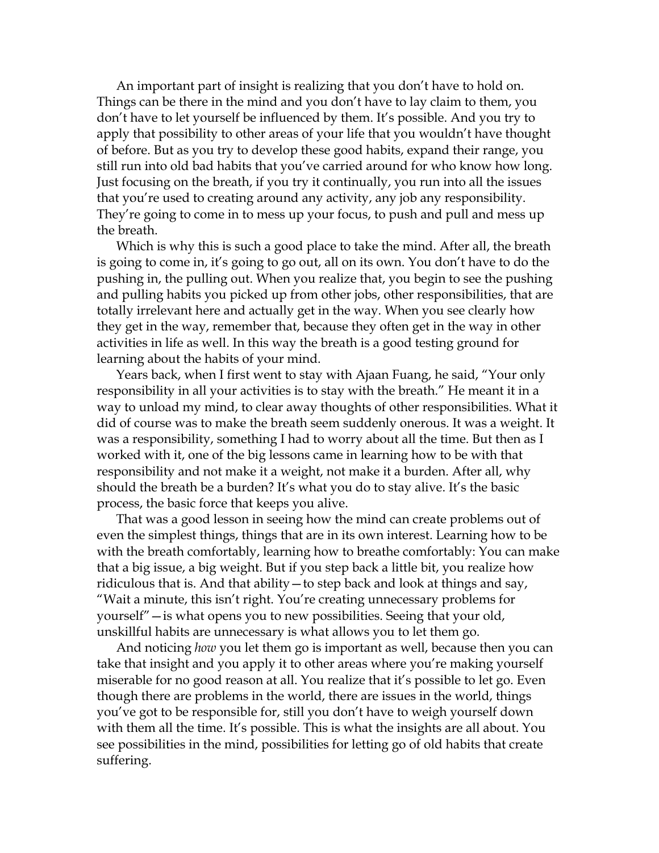An important part of insight is realizing that you don't have to hold on. Things can be there in the mind and you don't have to lay claim to them, you don't have to let yourself be influenced by them. It's possible. And you try to apply that possibility to other areas of your life that you wouldn't have thought of before. But as you try to develop these good habits, expand their range, you still run into old bad habits that you've carried around for who know how long. Just focusing on the breath, if you try it continually, you run into all the issues that you're used to creating around any activity, any job any responsibility. They're going to come in to mess up your focus, to push and pull and mess up the breath.

Which is why this is such a good place to take the mind. After all, the breath is going to come in, it's going to go out, all on its own. You don't have to do the pushing in, the pulling out. When you realize that, you begin to see the pushing and pulling habits you picked up from other jobs, other responsibilities, that are totally irrelevant here and actually get in the way. When you see clearly how they get in the way, remember that, because they often get in the way in other activities in life as well. In this way the breath is a good testing ground for learning about the habits of your mind.

Years back, when I first went to stay with Ajaan Fuang, he said, "Your only responsibility in all your activities is to stay with the breath." He meant it in a way to unload my mind, to clear away thoughts of other responsibilities. What it did of course was to make the breath seem suddenly onerous. It was a weight. It was a responsibility, something I had to worry about all the time. But then as I worked with it, one of the big lessons came in learning how to be with that responsibility and not make it a weight, not make it a burden. After all, why should the breath be a burden? It's what you do to stay alive. It's the basic process, the basic force that keeps you alive.

That was a good lesson in seeing how the mind can create problems out of even the simplest things, things that are in its own interest. Learning how to be with the breath comfortably, learning how to breathe comfortably: You can make that a big issue, a big weight. But if you step back a little bit, you realize how ridiculous that is. And that ability—to step back and look at things and say, "Wait a minute, this isn't right. You're creating unnecessary problems for yourself"—is what opens you to new possibilities. Seeing that your old, unskillful habits are unnecessary is what allows you to let them go.

And noticing *how* you let them go is important as well, because then you can take that insight and you apply it to other areas where you're making yourself miserable for no good reason at all. You realize that it's possible to let go. Even though there are problems in the world, there are issues in the world, things you've got to be responsible for, still you don't have to weigh yourself down with them all the time. It's possible. This is what the insights are all about. You see possibilities in the mind, possibilities for letting go of old habits that create suffering.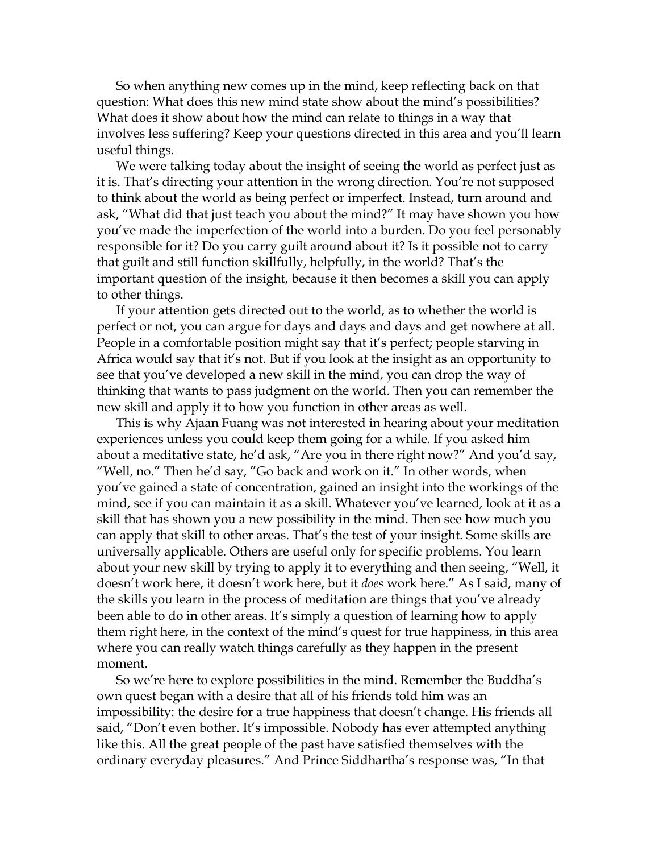So when anything new comes up in the mind, keep reflecting back on that question: What does this new mind state show about the mind's possibilities? What does it show about how the mind can relate to things in a way that involves less suffering? Keep your questions directed in this area and you'll learn useful things.

We were talking today about the insight of seeing the world as perfect just as it is. That's directing your attention in the wrong direction. You're not supposed to think about the world as being perfect or imperfect. Instead, turn around and ask, "What did that just teach you about the mind?" It may have shown you how you've made the imperfection of the world into a burden. Do you feel personably responsible for it? Do you carry guilt around about it? Is it possible not to carry that guilt and still function skillfully, helpfully, in the world? That's the important question of the insight, because it then becomes a skill you can apply to other things.

If your attention gets directed out to the world, as to whether the world is perfect or not, you can argue for days and days and days and get nowhere at all. People in a comfortable position might say that it's perfect; people starving in Africa would say that it's not. But if you look at the insight as an opportunity to see that you've developed a new skill in the mind, you can drop the way of thinking that wants to pass judgment on the world. Then you can remember the new skill and apply it to how you function in other areas as well.

This is why Ajaan Fuang was not interested in hearing about your meditation experiences unless you could keep them going for a while. If you asked him about a meditative state, he'd ask, "Are you in there right now?" And you'd say, "Well, no." Then he'd say, "Go back and work on it." In other words, when you've gained a state of concentration, gained an insight into the workings of the mind, see if you can maintain it as a skill. Whatever you've learned, look at it as a skill that has shown you a new possibility in the mind. Then see how much you can apply that skill to other areas. That's the test of your insight. Some skills are universally applicable. Others are useful only for specific problems. You learn about your new skill by trying to apply it to everything and then seeing, "Well, it doesn't work here, it doesn't work here, but it *does* work here." As I said, many of the skills you learn in the process of meditation are things that you've already been able to do in other areas. It's simply a question of learning how to apply them right here, in the context of the mind's quest for true happiness, in this area where you can really watch things carefully as they happen in the present moment.

So we're here to explore possibilities in the mind. Remember the Buddha's own quest began with a desire that all of his friends told him was an impossibility: the desire for a true happiness that doesn't change. His friends all said, "Don't even bother. It's impossible. Nobody has ever attempted anything like this. All the great people of the past have satisfied themselves with the ordinary everyday pleasures." And Prince Siddhartha's response was, "In that